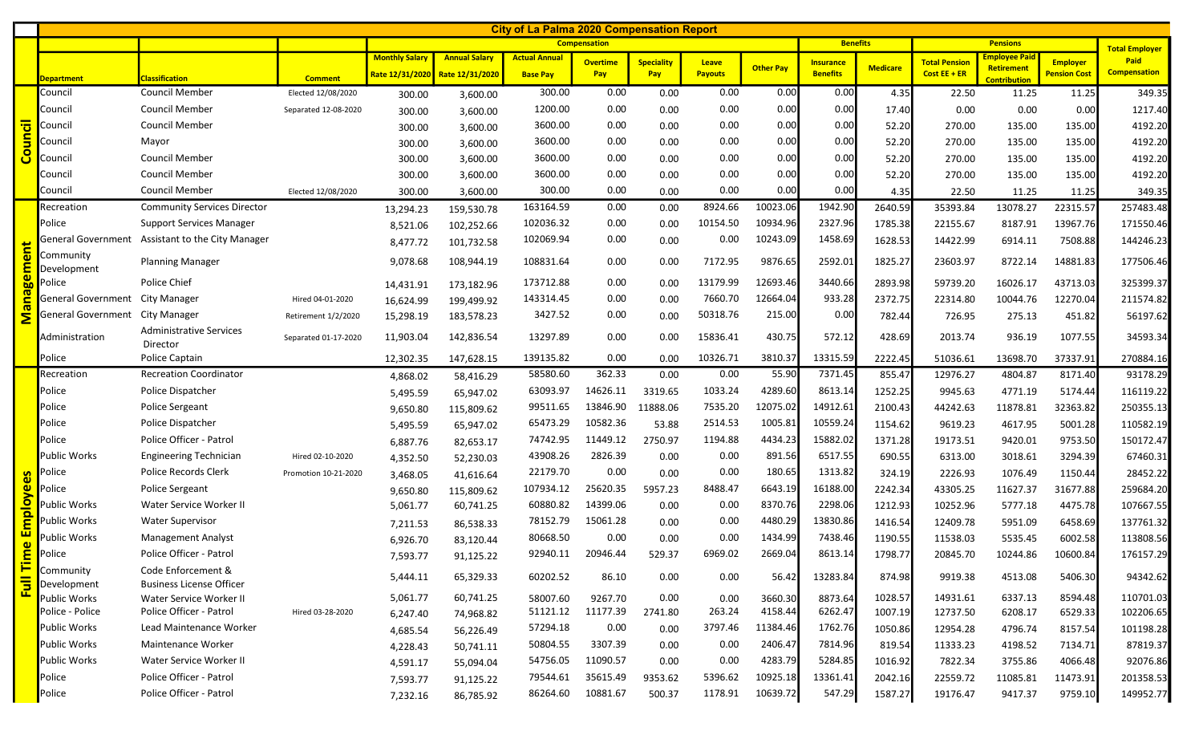|                      |                          | <b>City of La Palma 2020 Compensation Report</b>      |                      |                       |                                 |                      |                 |                   |                |                  |                  |                 |                      |                                           |                     |                     |
|----------------------|--------------------------|-------------------------------------------------------|----------------------|-----------------------|---------------------------------|----------------------|-----------------|-------------------|----------------|------------------|------------------|-----------------|----------------------|-------------------------------------------|---------------------|---------------------|
|                      |                          |                                                       |                      | <b>Compensation</b>   |                                 |                      |                 |                   |                |                  | <b>Benefits</b>  |                 |                      | <b>Total Employer</b>                     |                     |                     |
|                      |                          |                                                       |                      | <b>Monthly Salary</b> | <b>Annual Salary</b>            | <b>Actual Annual</b> | <b>Overtime</b> | <b>Speciality</b> | <b>Leave</b>   | <b>Other Pay</b> | <b>Insurance</b> | <b>Medicare</b> | <b>Total Pension</b> | <b>Employee Paid</b><br><b>Retirement</b> | <b>Employer</b>     | Paid                |
|                      | Department               | <b>Classification</b>                                 | <b>Comment</b>       |                       | Rate 12/31/2020 Rate 12/31/2020 | <b>Base Pay</b>      | Pay             | Pay               | <b>Payouts</b> |                  | <b>Benefits</b>  |                 | Cost $EE + ER$       | <b>Contribution</b>                       | <b>Pension Cost</b> | <b>Compensation</b> |
|                      | Council                  | <b>Council Member</b>                                 | Elected 12/08/2020   | 300.00                | 3,600.00                        | 300.00               | 0.00            | 0.00              | 0.00           | 0.00             | 0.00             | 4.35            | 22.50                | 11.25                                     | 11.25               | 349.35              |
|                      | Council                  | <b>Council Member</b>                                 | Separated 12-08-2020 | 300.00                | 3,600.00                        | 1200.00              | 0.00            | 0.00              | 0.00           | 0.00             | 0.00             | 17.40           | 0.00                 | 0.00                                      | 0.00                | 1217.40             |
|                      | Council                  | <b>Council Member</b>                                 |                      | 300.00                | 3,600.00                        | 3600.00              | 0.00            | 0.00              | 0.00           | 0.00             | 0.00             | 52.20           | 270.00               | 135.00                                    | 135.00              | 4192.20             |
| <mark>Council</mark> | Council                  | Mayor                                                 |                      | 300.00                | 3,600.00                        | 3600.00              | 0.00            | 0.00              | 0.00           | 0.00             | 0.00             | 52.20           | 270.00               | 135.00                                    | 135.00              | 4192.20             |
|                      | Council                  | <b>Council Member</b>                                 |                      | 300.00                | 3,600.00                        | 3600.00              | 0.00            | 0.00              | 0.00           | 0.00             | 0.00             | 52.20           | 270.00               | 135.00                                    | 135.00              | 4192.20             |
|                      | Council                  | <b>Council Member</b>                                 |                      | 300.00                | 3,600.00                        | 3600.00              | 0.00            | 0.00              | 0.00           | 0.00             | 0.00             | 52.20           | 270.00               | 135.00                                    | 135.00              | 4192.20             |
|                      | Council                  | <b>Council Member</b>                                 | Elected 12/08/2020   | 300.00                | 3,600.00                        | 300.00               | 0.00            | 0.00              | 0.00           | 0.00             | 0.00             | 4.35            | 22.50                | 11.25                                     | 11.25               | 349.35              |
|                      | Recreation               | <b>Community Services Director</b>                    |                      | 13,294.23             | 159,530.78                      | 163164.59            | 0.00            | 0.00              | 8924.66        | 10023.06         | 1942.90          | 2640.59         | 35393.84             | 13078.27                                  | 22315.57            | 257483.48           |
|                      | Police                   | <b>Support Services Manager</b>                       |                      | 8,521.06              | 102,252.66                      | 102036.32            | 0.00            | 0.00              | 10154.50       | 10934.96         | 2327.96          | 1785.38         | 22155.67             | 8187.91                                   | 13967.76            | 171550.46           |
| ent                  | General Government       | <b>Assistant to the City Manager</b>                  |                      | 8,477.72              | 101,732.58                      | 102069.94            | 0.00            | 0.00              | 0.00           | 10243.09         | 1458.69          | 1628.53         | 14422.99             | 6914.11                                   | 7508.88             | 144246.23           |
|                      | Community<br>Development | <b>Planning Manager</b>                               |                      | 9,078.68              | 108,944.19                      | 108831.64            | 0.00            | 0.00              | 7172.95        | 9876.65          | 2592.01          | 1825.27         | 23603.97             | 8722.14                                   | 14881.83            | 177506.46           |
| uagem                | Police                   | Police Chief                                          |                      | 14,431.91             | 173,182.96                      | 173712.88            | 0.00            | 0.00              | 13179.99       | 12693.46         | 3440.66          | 2893.98         | 59739.20             | 16026.17                                  | 43713.03            | 325399.37           |
|                      | General Government       | City Manager                                          | Hired 04-01-2020     | 16,624.99             | 199,499.92                      | 143314.45            | 0.00            | 0.00              | 7660.70        | 12664.04         | 933.28           | 2372.75         | 22314.80             | 10044.76                                  | 12270.04            | 211574.82           |
| $\bar{\mathbf{z}}$   | General Government       | City Manager                                          | Retirement 1/2/2020  | 15,298.19             | 183,578.23                      | 3427.52              | 0.00            | 0.00              | 50318.76       | 215.00           | 0.00             | 782.44          | 726.95               | 275.13                                    | 451.82              | 56197.62            |
|                      | Administration           | <b>Administrative Services</b><br>Director            | Separated 01-17-2020 | 11,903.04             | 142,836.54                      | 13297.89             | 0.00            | 0.00              | 15836.41       | 430.75           | 572.12           | 428.69          | 2013.74              | 936.19                                    | 1077.55             | 34593.34            |
|                      | Police                   | Police Captain                                        |                      | 12,302.35             | 147,628.15                      | 139135.82            | 0.00            | 0.00              | 10326.71       | 3810.37          | 13315.59         | 2222.45         | 51036.61             | 13698.70                                  | 37337.91            | 270884.16           |
|                      | Recreation               | <b>Recreation Coordinator</b>                         |                      | 4,868.02              | 58,416.29                       | 58580.60             | 362.33          | 0.00              | 0.00           | 55.90            | 7371.45          | 855.47          | 12976.27             | 4804.87                                   | 8171.40             | 93178.29            |
|                      | Police                   | Police Dispatcher                                     |                      | 5,495.59              | 65,947.02                       | 63093.97             | 14626.11        | 3319.65           | 1033.24        | 4289.60          | 8613.14          | 1252.25         | 9945.63              | 4771.19                                   | 5174.44             | 116119.22           |
|                      | Police                   | Police Sergeant                                       |                      | 9,650.80              | 115,809.62                      | 99511.65             | 13846.90        | 11888.06          | 7535.20        | 12075.02         | 14912.61         | 2100.43         | 44242.63             | 11878.81                                  | 32363.82            | 250355.13           |
|                      | Police                   | Police Dispatcher                                     |                      | 5,495.59              | 65,947.02                       | 65473.29             | 10582.36        | 53.88             | 2514.53        | 1005.81          | 10559.24         | 1154.62         | 9619.23              | 4617.95                                   | 5001.28             | 110582.19           |
|                      | Police                   | Police Officer - Patrol                               |                      | 6,887.76              | 82,653.17                       | 74742.95             | 11449.12        | 2750.97           | 1194.88        | 4434.23          | 15882.02         | 1371.28         | 19173.51             | 9420.01                                   | 9753.50             | 150172.47           |
|                      | Public Works             | <b>Engineering Technician</b>                         | Hired 02-10-2020     | 4,352.50              | 52,230.03                       | 43908.26             | 2826.39         | 0.00              | 0.00           | 891.56           | 6517.55          | 690.55          | 6313.00              | 3018.61                                   | 3294.39             | 67460.31            |
| စိ                   | Police                   | Police Records Clerk                                  | Promotion 10-21-2020 | 3,468.05              | 41,616.64                       | 22179.70             | 0.00            | 0.00              | 0.00           | 180.65           | 1313.82          | 324.19          | 2226.93              | 1076.49                                   | 1150.44             | 28452.22            |
| e<br>δ               | Police                   | <b>Police Sergeant</b>                                |                      | 9,650.80              | 115,809.62                      | 107934.12            | 25620.35        | 5957.23           | 8488.47        | 6643.19          | 16188.00         | 2242.34         | 43305.25             | 11627.37                                  | 31677.88            | 259684.20           |
|                      | <b>Public Works</b>      | Water Service Worker II                               |                      | 5,061.77              | 60,741.25                       | 60880.82             | 14399.06        | 0.00              | 0.00           | 8370.76          | 2298.06          | 1212.93         | 10252.96             | 5777.18                                   | 4475.78             | 107667.55           |
| <b>Empl</b>          | Public Works             | <b>Water Supervisor</b>                               |                      | 7,211.53              | 86,538.33                       | 78152.79             | 15061.28        | 0.00              | 0.00           | 4480.29          | 13830.86         | 1416.54         | 12409.78             | 5951.09                                   | 6458.69             | 137761.32           |
| $\bullet$            | Public Works             | <b>Management Analyst</b>                             |                      | 6,926.70              | 83,120.44                       | 80668.50             | 0.00            | 0.00              | 0.00           | 1434.99          | 7438.46          | 1190.55         | 11538.03             | 5535.45                                   | 6002.58             | 113808.56           |
| $\mathbf{r}$<br>Ë    | Police                   | Police Officer - Patrol                               |                      | 7,593.77              | 91,125.22                       | 92940.11             | 20946.44        | 529.37            | 6969.02        | 2669.04          | 8613.14          | 1798.77         | 20845.70             | 10244.86                                  | 10600.84            | 176157.29           |
|                      | Community<br>Development | Code Enforcement &<br><b>Business License Officer</b> |                      | 5,444.11              | 65,329.33                       | 60202.52             | 86.10           | 0.00              | 0.00           | 56.42            | 13283.84         | 874.98          | 9919.38              | 4513.08                                   | 5406.30             | 94342.62            |
| 囸                    | Public Works             | Water Service Worker II                               |                      | 5,061.77              | 60,741.25                       | 58007.60             | 9267.70         | 0.00              | 0.00           | 3660.30          | 8873.64          | 1028.57         | 14931.61             | 6337.13                                   | 8594.48             | 110701.03           |
|                      | Police - Police          | Police Officer - Patrol                               | Hired 03-28-2020     | 6,247.40              | 74,968.82                       | 51121.12             | 11177.39        | 2741.80           | 263.24         | 4158.44          | 6262.47          | 1007.19         | 12737.50             | 6208.17                                   | 6529.33             | 102206.65           |
|                      | Public Works             | Lead Maintenance Worker                               |                      | 4,685.54              | 56,226.49                       | 57294.18             | 0.00            | 0.00              | 3797.46        | 11384.46         | 1762.76          | 1050.86         | 12954.28             | 4796.74                                   | 8157.54             | 101198.28           |
|                      | Public Works             | Maintenance Worker                                    |                      | 4,228.43              | 50,741.11                       | 50804.55             | 3307.39         | 0.00              | 0.00           | 2406.47          | 7814.96          | 819.54          | 11333.23             | 4198.52                                   | 7134.71             | 87819.37            |
|                      | Public Works             | Water Service Worker II                               |                      | 4,591.17              | 55,094.04                       | 54756.05             | 11090.57        | 0.00              | 0.00           | 4283.79          | 5284.85          | 1016.92         | 7822.34              | 3755.86                                   | 4066.48             | 92076.86            |
|                      | Police                   | Police Officer - Patrol                               |                      | 7,593.77              | 91,125.22                       | 79544.61             | 35615.49        | 9353.62           | 5396.62        | 10925.18         | 13361.41         | 2042.16         | 22559.72             | 11085.81                                  | 11473.91            | 201358.53           |
|                      | Police                   | Police Officer - Patrol                               |                      | 7,232.16              | 86,785.92                       | 86264.60             | 10881.67        | 500.37            | 1178.91        | 10639.72         | 547.29           | 1587.27         | 19176.47             | 9417.37                                   | 9759.10             | 149952.77           |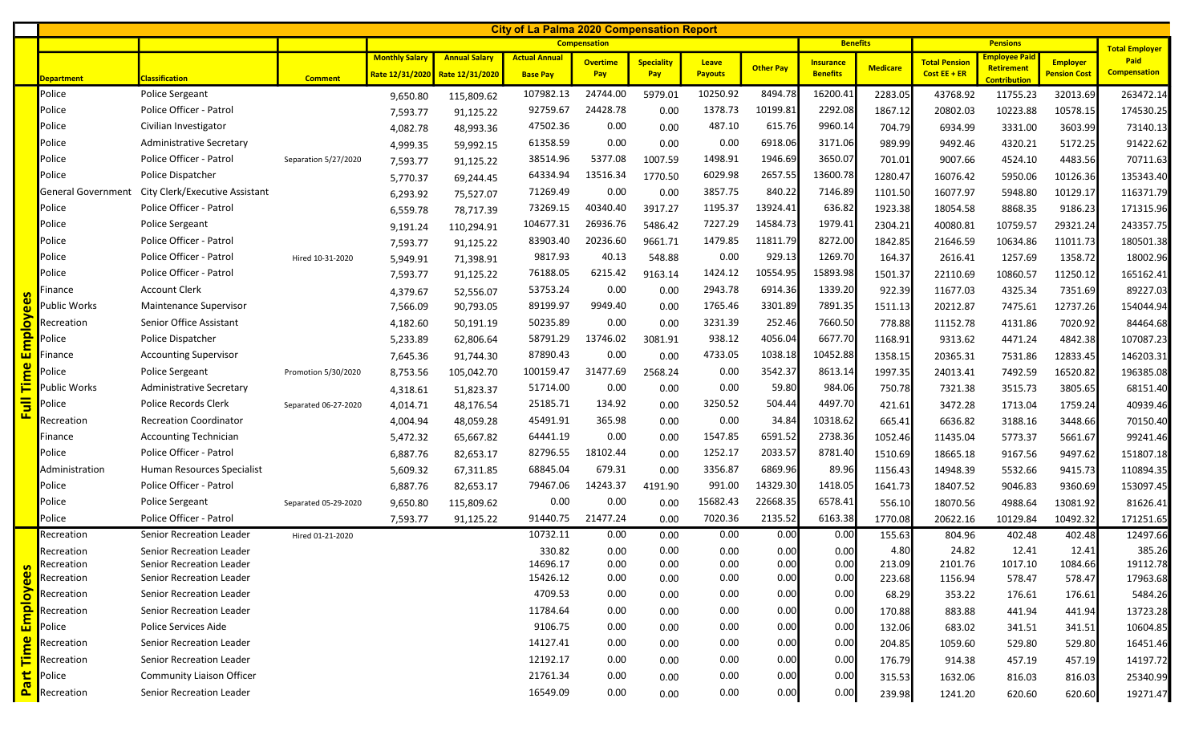| <b>City of La Palma 2020 Compensation Report</b> |                           |                                  |                      |                       |                      |                      |                 |                   |                |                  |                  |                 |                      |                                    |                     |                     |
|--------------------------------------------------|---------------------------|----------------------------------|----------------------|-----------------------|----------------------|----------------------|-----------------|-------------------|----------------|------------------|------------------|-----------------|----------------------|------------------------------------|---------------------|---------------------|
|                                                  |                           |                                  |                      | <b>Compensation</b>   |                      |                      |                 |                   |                |                  | <b>Benefits</b>  |                 |                      | <b>Total Employer</b>              |                     |                     |
|                                                  |                           |                                  |                      | <b>Monthly Salary</b> | <b>Annual Salary</b> | <b>Actual Annual</b> | <b>Overtime</b> | <b>Speciality</b> | Leave          | <b>Other Pay</b> | <b>Insurance</b> | <b>Medicare</b> | <b>Total Pension</b> | <b>Employee Paid</b><br>Retirement | <b>Employer</b>     | Paid                |
|                                                  | Department                | <b>Classification</b>            | <b>Comment</b>       | Rate 12/31/2020       | Rate 12/31/2020      | <b>Base Pay</b>      | Pay             | Pay               | <b>Payouts</b> |                  | <b>Benefits</b>  |                 | Cost EE + ER         | <b>Contribution</b>                | <b>Pension Cost</b> | <b>Compensation</b> |
|                                                  | Police                    | <b>Police Sergeant</b>           |                      | 9,650.80              | 115,809.62           | 107982.13            | 24744.00        | 5979.01           | 10250.92       | 8494.78          | 16200.41         | 2283.05         | 43768.92             | 11755.23                           | 32013.69            | 263472.14           |
|                                                  | Police                    | Police Officer - Patrol          |                      | 7,593.77              | 91,125.22            | 92759.67             | 24428.78        | 0.00              | 1378.73        | 10199.81         | 2292.08          | 1867.12         | 20802.03             | 10223.88                           | 10578.15            | 174530.25           |
|                                                  | Police                    | Civilian Investigator            |                      | 4,082.78              | 48,993.36            | 47502.36             | 0.00            | 0.00              | 487.10         | 615.76           | 9960.14          | 704.79          | 6934.99              | 3331.00                            | 3603.99             | 73140.13            |
|                                                  | Police                    | Administrative Secretary         |                      | 4,999.35              | 59,992.15            | 61358.59             | 0.00            | 0.00              | 0.00           | 6918.06          | 3171.06          | 989.99          | 9492.46              | 4320.21                            | 5172.25             | 91422.62            |
|                                                  | Police                    | Police Officer - Patrol          | Separation 5/27/2020 | 7,593.77              | 91,125.22            | 38514.96             | 5377.08         | 1007.59           | 1498.91        | 1946.69          | 3650.07          | 701.01          | 9007.66              | 4524.10                            | 4483.56             | 70711.63            |
|                                                  | Police                    | Police Dispatcher                |                      | 5,770.37              | 69,244.45            | 64334.94             | 13516.34        | 1770.50           | 6029.98        | 2657.55          | 13600.78         | 1280.47         | 16076.42             | 5950.06                            | 10126.36            | 135343.40           |
|                                                  | <b>General Government</b> | City Clerk/Executive Assistant   |                      | 6,293.92              | 75,527.07            | 71269.49             | 0.00            | 0.00              | 3857.75        | 840.22           | 7146.89          | 1101.50         | 16077.97             | 5948.80                            | 10129.17            | 116371.79           |
|                                                  | Police                    | Police Officer - Patrol          |                      | 6,559.78              | 78,717.39            | 73269.15             | 40340.40        | 3917.27           | 1195.37        | 13924.41         | 636.82           | 1923.38         | 18054.58             | 8868.35                            | 9186.23             | 171315.96           |
|                                                  | Police                    | Police Sergeant                  |                      | 9,191.24              | 110,294.91           | 104677.31            | 26936.76        | 5486.42           | 7227.29        | 14584.73         | 1979.41          | 2304.21         | 40080.81             | 10759.57                           | 29321.24            | 243357.75           |
|                                                  | Police                    | Police Officer - Patrol          |                      | 7,593.77              | 91,125.22            | 83903.40             | 20236.60        | 9661.71           | 1479.85        | 11811.79         | 8272.00          | 1842.85         | 21646.59             | 10634.86                           | 11011.73            | 180501.38           |
|                                                  | Police                    | Police Officer - Patrol          | Hired 10-31-2020     | 5,949.91              | 71,398.91            | 9817.93              | 40.13           | 548.88            | 0.00           | 929.13           | 1269.70          | 164.37          | 2616.41              | 1257.69                            | 1358.72             | 18002.96            |
|                                                  | Police                    | Police Officer - Patrol          |                      | 7,593.77              | 91,125.22            | 76188.05             | 6215.42         | 9163.14           | 1424.12        | 10554.95         | 15893.98         | 1501.37         | 22110.69             | 10860.57                           | 11250.12            | 165162.41           |
|                                                  | Finance                   | <b>Account Clerk</b>             |                      | 4,379.67              | 52,556.07            | 53753.24             | 0.00            | 0.00              | 2943.78        | 6914.36          | 1339.20          | 922.39          | 11677.03             | 4325.34                            | 7351.69             | 89227.03            |
|                                                  | ublic Works <sup>.</sup>  | Maintenance Supervisor           |                      | 7,566.09              | 90,793.05            | 89199.97             | 9949.40         | 0.00              | 1765.46        | 3301.89          | 7891.35          | 1511.13         | 20212.87             | 7475.61                            | 12737.26            | 154044.94           |
| o                                                | Recreation                | Senior Office Assistant          |                      | 4,182.60              | 50,191.19            | 50235.89             | 0.00            | 0.00              | 3231.39        | 252.46           | 7660.50          | 778.88          | 11152.78             | 4131.86                            | 7020.92             | 84464.68            |
|                                                  | Police                    | Police Dispatcher                |                      | 5,233.89              | 62,806.64            | 58791.29             | 13746.02        | 3081.91           | 938.12         | 4056.04          | 6677.70          | 1168.91         | 9313.62              | 4471.24                            | 4842.38             | 107087.23           |
|                                                  | -inance                   | <b>Accounting Supervisor</b>     |                      | 7,645.36              | 91,744.30            | 87890.43             | 0.00            | 0.00              | 4733.05        | 1038.18          | 10452.88         | 1358.15         | 20365.31             | 7531.86                            | 12833.45            | 146203.31           |
|                                                  | Police                    | <b>Police Sergeant</b>           | Promotion 5/30/2020  | 8,753.56              | 105,042.70           | 100159.47            | 31477.69        | 2568.24           | 0.00           | 3542.37          | 8613.14          | 1997.35         | 24013.41             | 7492.59                            | 16520.82            | 196385.08           |
|                                                  | ublic Works <sup>.</sup>  | Administrative Secretary         |                      | 4,318.61              | 51,823.37            | 51714.00             | 0.00            | 0.00              | 0.00           | 59.80            | 984.06           | 750.78          | 7321.38              | 3515.73                            | 3805.65             | 68151.40            |
|                                                  | Police                    | <b>Police Records Clerk</b>      | Separated 06-27-2020 | 4,014.71              | 48,176.54            | 25185.71             | 134.92          | 0.00              | 3250.52        | 504.44           | 4497.70          | 421.61          | 3472.28              | 1713.04                            | 1759.24             | 40939.46            |
|                                                  | Recreation                | <b>Recreation Coordinator</b>    |                      | 4,004.94              | 48,059.28            | 45491.91             | 365.98          | 0.00              | 0.00           | 34.84            | 10318.62         | 665.41          | 6636.82              | 3188.16                            | 3448.66             | 70150.40            |
|                                                  | Finance                   | <b>Accounting Technician</b>     |                      | 5,472.32              | 65,667.82            | 64441.19             | 0.00            | 0.00              | 1547.85        | 6591.52          | 2738.36          | 1052.46         | 11435.04             | 5773.37                            | 5661.67             | 99241.46            |
|                                                  | Police                    | Police Officer - Patrol          |                      | 6,887.76              | 82,653.17            | 82796.55             | 18102.44        | 0.00              | 1252.17        | 2033.57          | 8781.40          | 1510.69         | 18665.18             | 9167.56                            | 9497.62             | 151807.18           |
|                                                  | Administration            | Human Resources Specialist       |                      | 5,609.32              | 67,311.85            | 68845.04             | 679.31          | 0.00              | 3356.87        | 6869.96          | 89.96            | 1156.43         | 14948.39             | 5532.66                            | 9415.73             | 110894.35           |
|                                                  | Police                    | Police Officer - Patrol          |                      | 6,887.76              | 82,653.17            | 79467.06             | 14243.37        | 4191.90           | 991.00         | 14329.30         | 1418.05          | 1641.73         | 18407.52             | 9046.83                            | 9360.69             | 153097.45           |
|                                                  | Police                    | Police Sergeant                  | Separated 05-29-2020 | 9,650.80              | 115,809.62           | 0.00                 | 0.00            | 0.00              | 15682.43       | 22668.35         | 6578.41          | 556.10          | 18070.56             | 4988.64                            | 13081.92            | 81626.41            |
|                                                  | Police                    | Police Officer - Patrol          |                      | 7,593.77              | 91,125.22            | 91440.75             | 21477.24        | 0.00              | 7020.36        | 2135.52          | 6163.38          | 1770.08         | 20622.16             | 10129.84                           | 10492.32            | 171251.65           |
|                                                  | Recreation                | Senior Recreation Leader         | Hired 01-21-2020     |                       |                      | 10732.11             | 0.00            | 0.00              | 0.00           | 0.00             | 0.00             | 155.63          | 804.96               | 402.48                             | 402.48              | 12497.66            |
|                                                  | Recreation                | Senior Recreation Leader         |                      |                       |                      | 330.82               | 0.00            | 0.00              | 0.00           | 0.00             | 0.00             | 4.80            | 24.82                | 12.41                              | 12.41               | 385.26              |
| S.<br>$\mathbf{\omega}$                          | Recreation                | Senior Recreation Leader         |                      |                       |                      | 14696.17             | 0.00            | 0.00              | 0.00           | 0.00             | 0.00             | 213.09          | 2101.76              | 1017.10                            | 1084.66             | 19112.78            |
| ധ                                                | Recreation                | Senior Recreation Leader         |                      |                       |                      | 15426.12             | 0.00            | 0.00              | 0.00           | 0.00             | 0.00             | 223.68          | 1156.94              | 578.47                             | 578.47              | 17963.68            |
| ō                                                | Recreation                | Senior Recreation Leader         |                      |                       |                      | 4709.53              | 0.00            | 0.00              | 0.00           | 0.00             | 0.00             | 68.29           | 353.22               | 176.61                             | 176.61              | 5484.26             |
| Emp                                              | Recreation                | Senior Recreation Leader         |                      |                       |                      | 11784.64             | 0.00            | 0.00              | 0.00           | 0.00             | 0.00             | 170.88          | 883.88               | 441.94                             | 441.94              | 13723.28            |
| $\mathbf \omega$                                 | Police                    | Police Services Aide             |                      |                       |                      | 9106.75              | 0.00            | 0.00              | 0.00           | 0.00             | 0.00             | 132.06          | 683.02               | 341.51                             | 341.51              | 10604.85            |
|                                                  | Recreation                | Senior Recreation Leader         |                      |                       |                      | 14127.41             | 0.00            | 0.00              | 0.00           | 0.00             | 0.00             | 204.85          | 1059.60              | 529.80                             | 529.80              | 16451.46            |
|                                                  | Recreation                | Senior Recreation Leader         |                      |                       |                      | 12192.17             | 0.00            | 0.00              | 0.00           | 0.00             | 0.00             | 176.79          | 914.38               | 457.19                             | 457.19              | 14197.72            |
| <u>ಗಾ</u>                                        | Police                    | <b>Community Liaison Officer</b> |                      |                       |                      | 21761.34             | 0.00            | 0.00              | 0.00           | 0.00             | 0.00             | 315.53          | 1632.06              | 816.03                             | 816.03              | 25340.99            |
| ௨                                                | Recreation                | Senior Recreation Leader         |                      |                       |                      | 16549.09             | 0.00            | 0.00              | 0.00           | 0.00             | 0.00             | 239.98          | 1241.20              | 620.60                             | 620.60              | 19271.47            |